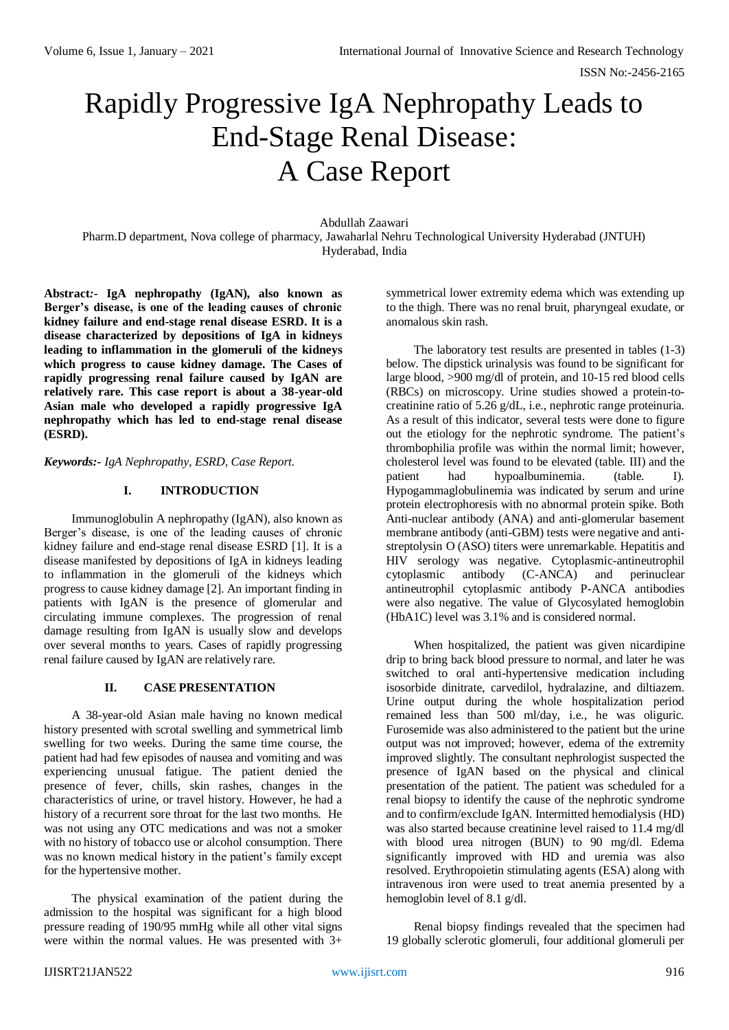# Rapidly Progressive IgA Nephropathy Leads to End-Stage Renal Disease: A Case Report

Abdullah Zaawari Pharm.D department, Nova college of pharmacy, Jawaharlal Nehru Technological University Hyderabad (JNTUH) Hyderabad, India

**Abstract***:-* **IgA nephropathy (IgAN), also known as Berger's disease, is one of the leading causes of chronic kidney failure and end-stage renal disease ESRD. It is a disease characterized by depositions of IgA in kidneys leading to inflammation in the glomeruli of the kidneys which progress to cause kidney damage. The Cases of rapidly progressing renal failure caused by IgAN are relatively rare. This case report is about a 38-year-old Asian male who developed a rapidly progressive IgA nephropathy which has led to end-stage renal disease (ESRD).**

# *Keywords:- IgA Nephropathy, ESRD, Case Report.*

# **I. INTRODUCTION**

Immunoglobulin A nephropathy (IgAN), also known as Berger's disease, is one of the leading causes of chronic kidney failure and end-stage renal disease ESRD [1]. It is a disease manifested by depositions of IgA in kidneys leading to inflammation in the glomeruli of the kidneys which progress to cause kidney damage [2]. An important finding in patients with IgAN is the presence of glomerular and circulating immune complexes. The progression of renal damage resulting from IgAN is usually slow and develops over several months to years. Cases of rapidly progressing renal failure caused by IgAN are relatively rare.

# **II. CASE PRESENTATION**

A 38-year-old Asian male having no known medical history presented with scrotal swelling and symmetrical limb swelling for two weeks. During the same time course, the patient had had few episodes of nausea and vomiting and was experiencing unusual fatigue. The patient denied the presence of fever, chills, skin rashes, changes in the characteristics of urine, or travel history. However, he had a history of a recurrent sore throat for the last two months. He was not using any OTC medications and was not a smoker with no history of tobacco use or alcohol consumption. There was no known medical history in the patient's family except for the hypertensive mother.

The physical examination of the patient during the admission to the hospital was significant for a high blood pressure reading of 190/95 mmHg while all other vital signs were within the normal values. He was presented with 3+

symmetrical lower extremity edema which was extending up to the thigh. There was no renal bruit, pharyngeal exudate, or anomalous skin rash.

The laboratory test results are presented in tables (1-3) below. The dipstick urinalysis was found to be significant for large blood, >900 mg/dl of protein, and 10-15 red blood cells (RBCs) on microscopy. Urine studies showed a protein-tocreatinine ratio of 5.26 g/dL, i.e., nephrotic range proteinuria. As a result of this indicator, several tests were done to figure out the etiology for the nephrotic syndrome. The patient's thrombophilia profile was within the normal limit; however, cholesterol level was found to be elevated (table. III) and the patient had hypoalbuminemia. (table. I). Hypogammaglobulinemia was indicated by serum and urine protein electrophoresis with no abnormal protein spike. Both Anti-nuclear antibody (ANA) and anti-glomerular basement membrane antibody (anti-GBM) tests were negative and antistreptolysin O (ASO) titers were unremarkable. Hepatitis and HIV serology was negative. Cytoplasmic-antineutrophil cytoplasmic antibody (C-ANCA) and perinuclear antineutrophil cytoplasmic antibody P-ANCA antibodies were also negative. The value of Glycosylated hemoglobin (HbA1C) level was 3.1% and is considered normal.

When hospitalized, the patient was given nicardipine drip to bring back blood pressure to normal, and later he was switched to oral anti-hypertensive medication including isosorbide dinitrate, carvedilol, hydralazine, and diltiazem. Urine output during the whole hospitalization period remained less than 500 ml/day, i.e., he was oliguric. Furosemide was also administered to the patient but the urine output was not improved; however, edema of the extremity improved slightly. The consultant nephrologist suspected the presence of IgAN based on the physical and clinical presentation of the patient. The patient was scheduled for a renal biopsy to identify the cause of the nephrotic syndrome and to confirm/exclude IgAN. Intermitted hemodialysis (HD) was also started because creatinine level raised to 11.4 mg/dl with blood urea nitrogen (BUN) to 90 mg/dl. Edema significantly improved with HD and uremia was also resolved. Erythropoietin stimulating agents (ESA) along with intravenous iron were used to treat anemia presented by a hemoglobin level of 8.1 g/dl.

Renal biopsy findings revealed that the specimen had 19 globally sclerotic glomeruli, four additional glomeruli per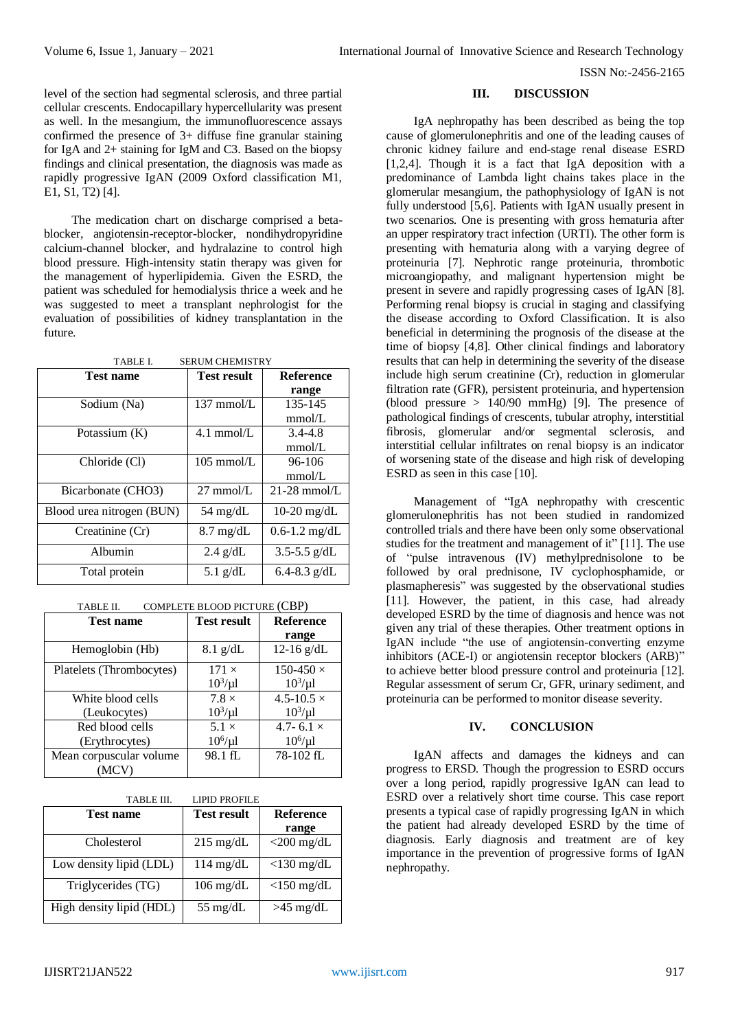ISSN No:-2456-2165

level of the section had segmental sclerosis, and three partial cellular crescents. Endocapillary hypercellularity was present as well. In the mesangium, the immunofluorescence assays confirmed the presence of 3+ diffuse fine granular staining for IgA and 2+ staining for IgM and C3. Based on the biopsy findings and clinical presentation, the diagnosis was made as rapidly progressive IgAN (2009 Oxford classification M1, E1, S1, T2) [4].

The medication chart on discharge comprised a betablocker, angiotensin-receptor-blocker, nondihydropyridine calcium-channel blocker, and hydralazine to control high blood pressure. High-intensity statin therapy was given for the management of hyperlipidemia. Given the ESRD, the patient was scheduled for hemodialysis thrice a week and he was suggested to meet a transplant nephrologist for the evaluation of possibilities of kidney transplantation in the future.

| TABLE I.<br><b>SERUM CHEMISTRY</b> |                      |                   |  |
|------------------------------------|----------------------|-------------------|--|
| <b>Test name</b>                   | Test result          | <b>Reference</b>  |  |
|                                    |                      | range             |  |
| Sodium (Na)                        | $137 \text{ mmol/L}$ | 135-145           |  |
|                                    |                      | mmol/L            |  |
| Potassium $(K)$                    | $4.1$ mmol/L         | $3.4 - 4.8$       |  |
|                                    |                      | mmol/L            |  |
| Chloride (Cl)                      | $105$ mmol/L         | $96-106$          |  |
|                                    |                      | mmol/L            |  |
| Bicarbonate (CHO3)                 | $27 \text{ mmol/L}$  | $21-28$ mmol/L    |  |
| Blood urea nitrogen (BUN)          | 54 mg/dL             | $10-20$ mg/dL     |  |
| Creatinine (Cr)                    | $8.7 \text{ mg/dL}$  | $0.6 - 1.2$ mg/dL |  |
| Albumin                            | $2.4$ g/dL           | $3.5 - 5.5$ g/dL  |  |
| Total protein                      | 5.1 $g/dL$           | 6.4-8.3 $g/dL$    |  |

| COMPLETE BLOOD PICTURE (CBP)<br>TABLE II. |  |
|-------------------------------------------|--|
|-------------------------------------------|--|

| <b>Test name</b>         | <b>Test result</b> | Reference           |
|--------------------------|--------------------|---------------------|
|                          |                    | range               |
| Hemoglobin (Hb)          | $8.1$ g/dL         | 12-16 $g/dL$        |
| Platelets (Thrombocytes) | $171 \times$       | $150-450 \times$    |
|                          | $10^3/\mu$ l       | $10^3/\mu$ l        |
| White blood cells        | $7.8 \times$       | $4.5 - 10.5 \times$ |
| (Leukocytes)             | $10^3/\mu$ l       | $10^3/\mu$ l        |
| Red blood cells          | $5.1 \times$       | 4.7-6.1 $\times$    |
| (Erythrocytes)           | $10^6/\mu l$       | $10^6/\mu l$        |
| Mean corpuscular volume  | 98.1 fL            | 78-102 fL           |
| (MCV)                    |                    |                     |

| TABLE III.               | <b>LIPID PROFILE</b> |                  |
|--------------------------|----------------------|------------------|
| <b>Test name</b>         | <b>Test result</b>   | <b>Reference</b> |
|                          |                      | range            |
| Cholesterol              | $215 \text{ mg/dL}$  | $<$ 200 mg/dL    |
| Low density lipid (LDL)  | $114$ mg/dL          | $<$ 130 mg/dL    |
| Triglycerides (TG)       | $106 \text{ mg/dL}$  | $<$ 150 mg/dL    |
| High density lipid (HDL) | 55 mg/dL             | $>45$ mg/dL      |

### **III. DISCUSSION**

IgA nephropathy has been described as being the top cause of glomerulonephritis and one of the leading causes of chronic kidney failure and end-stage renal disease ESRD [1,2,4]. Though it is a fact that IgA deposition with a predominance of Lambda light chains takes place in the glomerular mesangium, the pathophysiology of IgAN is not fully understood [5,6]. Patients with IgAN usually present in two scenarios. One is presenting with gross hematuria after an upper respiratory tract infection (URTI). The other form is presenting with hematuria along with a varying degree of proteinuria [7]. Nephrotic range proteinuria, thrombotic microangiopathy, and malignant hypertension might be present in severe and rapidly progressing cases of IgAN [8]. Performing renal biopsy is crucial in staging and classifying the disease according to Oxford Classification. It is also beneficial in determining the prognosis of the disease at the time of biopsy [4,8]. Other clinical findings and laboratory results that can help in determining the severity of the disease include high serum creatinine (Cr), reduction in glomerular filtration rate (GFR), persistent proteinuria, and hypertension (blood pressure  $> 140/90$  mmHg) [9]. The presence of pathological findings of crescents, tubular atrophy, interstitial fibrosis, glomerular and/or segmental sclerosis, and interstitial cellular infiltrates on renal biopsy is an indicator of worsening state of the disease and high risk of developing ESRD as seen in this case [10].

Management of "IgA nephropathy with crescentic glomerulonephritis has not been studied in randomized controlled trials and there have been only some observational studies for the treatment and management of it" [11]. The use of "pulse intravenous (IV) methylprednisolone to be followed by oral prednisone, IV cyclophosphamide, or plasmapheresis" was suggested by the observational studies [11]. However, the patient, in this case, had already developed ESRD by the time of diagnosis and hence was not given any trial of these therapies. Other treatment options in IgAN include "the use of angiotensin-converting enzyme inhibitors (ACE-I) or angiotensin receptor blockers (ARB)" to achieve better blood pressure control and proteinuria [12]. Regular assessment of serum Cr, GFR, urinary sediment, and proteinuria can be performed to monitor disease severity.

## **IV. CONCLUSION**

IgAN affects and damages the kidneys and can progress to ERSD. Though the progression to ESRD occurs over a long period, rapidly progressive IgAN can lead to ESRD over a relatively short time course. This case report presents a typical case of rapidly progressing IgAN in which the patient had already developed ESRD by the time of diagnosis. Early diagnosis and treatment are of key importance in the prevention of progressive forms of IgAN nephropathy.